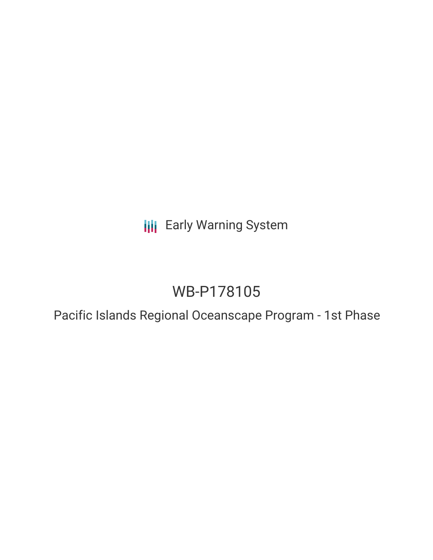# **III** Early Warning System

# WB-P178105

Pacific Islands Regional Oceanscape Program - 1st Phase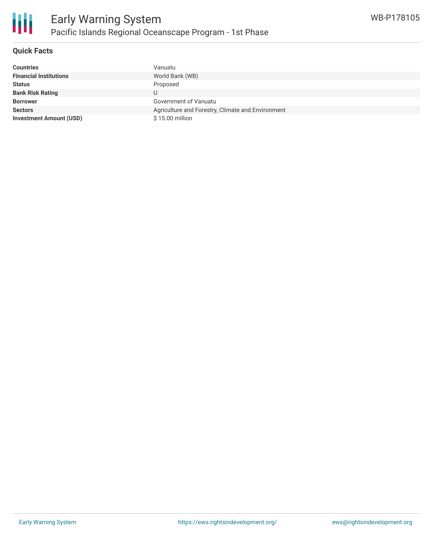

#### **Quick Facts**

| <b>Countries</b>               | Vanuatu                                           |
|--------------------------------|---------------------------------------------------|
| <b>Financial Institutions</b>  | World Bank (WB)                                   |
| <b>Status</b>                  | Proposed                                          |
| <b>Bank Risk Rating</b>        | U                                                 |
| <b>Borrower</b>                | Government of Vanuatu                             |
| <b>Sectors</b>                 | Agriculture and Forestry, Climate and Environment |
| <b>Investment Amount (USD)</b> | \$15.00 million                                   |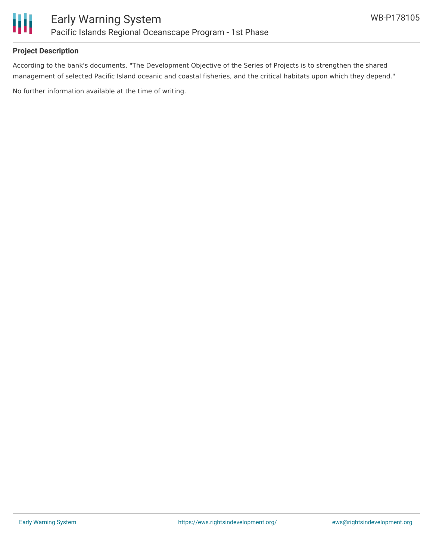

#### **Project Description**

According to the bank's documents, "The Development Objective of the Series of Projects is to strengthen the shared management of selected Pacific Island oceanic and coastal fisheries, and the critical habitats upon which they depend."

No further information available at the time of writing.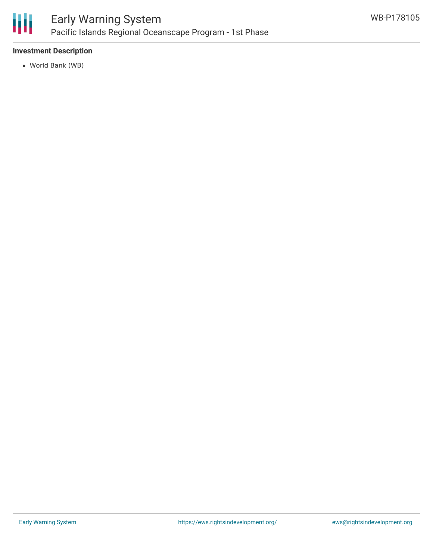

#### **Investment Description**

World Bank (WB)